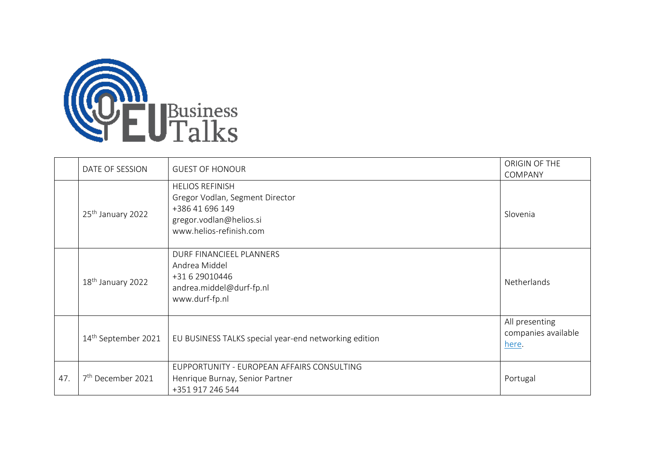

|     | DATE OF SESSION                 | <b>GUEST OF HONOUR</b>                                                                                                             | ORIGIN OF THE<br>COMPANY                       |
|-----|---------------------------------|------------------------------------------------------------------------------------------------------------------------------------|------------------------------------------------|
|     | 25 <sup>th</sup> January 2022   | <b>HELIOS REFINISH</b><br>Gregor Vodlan, Segment Director<br>+386 41 696 149<br>gregor.vodlan@helios.si<br>www.helios-refinish.com | Slovenia                                       |
|     | 18 <sup>th</sup> January 2022   | DURF FINANCIEEL PLANNERS<br>Andrea Middel<br>+31 6 29010446<br>andrea.middel@durf-fp.nl<br>www.durf-fp.nl                          | Netherlands                                    |
|     | 14 <sup>th</sup> September 2021 | EU BUSINESS TALKS special year-end networking edition                                                                              | All presenting<br>companies available<br>here. |
| 47. | 7 <sup>th</sup> December 2021   | EUPPORTUNITY - EUROPEAN AFFAIRS CONSULTING<br>Henrique Burnay, Senior Partner<br>+351 917 246 544                                  | Portugal                                       |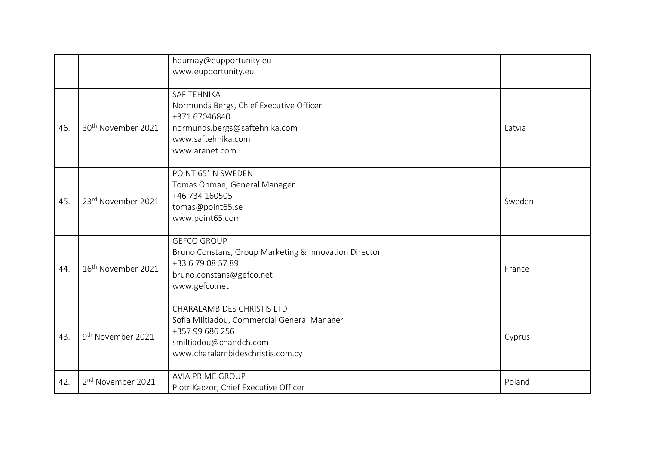|     |                                | hburnay@eupportunity.eu<br>www.eupportunity.eu                                                                                                                    |        |
|-----|--------------------------------|-------------------------------------------------------------------------------------------------------------------------------------------------------------------|--------|
| 46. | 30 <sup>th</sup> November 2021 | <b>SAF TEHNIKA</b><br>Normunds Bergs, Chief Executive Officer<br>+371 67046840<br>normunds.bergs@saftehnika.com<br>www.saftehnika.com<br>www.aranet.com           | Latvia |
| 45. | 23rd November 2021             | POINT 65° N SWEDEN<br>Tomas Öhman, General Manager<br>+46 734 160505<br>tomas@point65.se<br>www.point65.com                                                       | Sweden |
| 44. | 16 <sup>th</sup> November 2021 | <b>GEFCO GROUP</b><br>Bruno Constans, Group Marketing & Innovation Director<br>+33 6 79 08 57 89<br>bruno.constans@gefco.net<br>www.gefco.net                     | France |
| 43. | 9 <sup>th</sup> November 2021  | <b>CHARALAMBIDES CHRISTIS LTD</b><br>Sofia Miltiadou, Commercial General Manager<br>+357 99 686 256<br>smiltiadou@chandch.com<br>www.charalambideschristis.com.cy | Cyprus |
| 42. | 2 <sup>nd</sup> November 2021  | <b>AVIA PRIME GROUP</b><br>Piotr Kaczor, Chief Executive Officer                                                                                                  | Poland |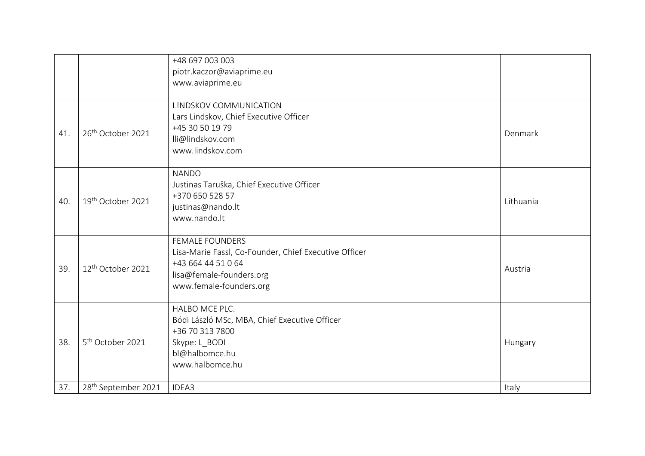|     |                                 | +48 697 003 003<br>piotr.kaczor@aviaprime.eu<br>www.aviaprime.eu                                                                                             |           |
|-----|---------------------------------|--------------------------------------------------------------------------------------------------------------------------------------------------------------|-----------|
| 41. | 26 <sup>th</sup> October 2021   | LINDSKOV COMMUNICATION<br>Lars Lindskov, Chief Executive Officer<br>+45 30 50 19 79<br>lli@lindskov.com<br>www.lindskov.com                                  | Denmark   |
| 40. | 19th October 2021               | <b>NANDO</b><br>Justinas Taruška, Chief Executive Officer<br>+370 650 528 57<br>justinas@nando.lt<br>www.nando.lt                                            | Lithuania |
| 39. | 12 <sup>th</sup> October 2021   | <b>FEMALE FOUNDERS</b><br>Lisa-Marie Fassl, Co-Founder, Chief Executive Officer<br>+43 664 44 51 0 64<br>lisa@female-founders.org<br>www.female-founders.org | Austria   |
| 38. | 5 <sup>th</sup> October 2021    | HALBO MCE PLC.<br>Bódi László MSc, MBA, Chief Executive Officer<br>+36 70 313 7800<br>Skype: L_BODI<br>bl@halbomce.hu<br>www.halbomce.hu                     | Hungary   |
| 37. | 28 <sup>th</sup> September 2021 | IDEA3                                                                                                                                                        | Italy     |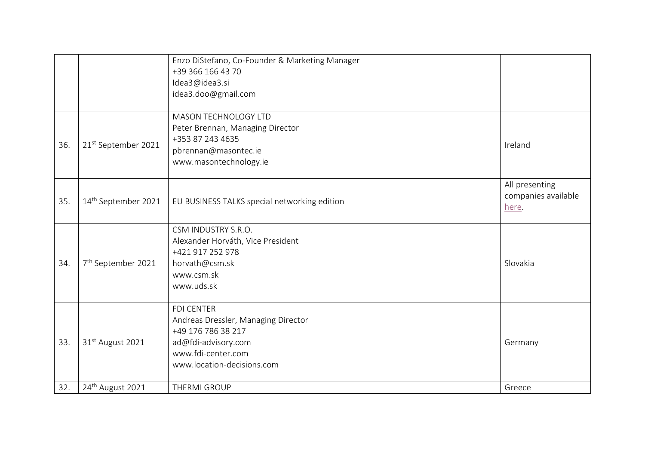|     |                                 | Enzo DiStefano, Co-Founder & Marketing Manager<br>+39 366 166 43 70<br>Idea3@idea3.si<br>idea3.doo@gmail.com                                              |                                                |
|-----|---------------------------------|-----------------------------------------------------------------------------------------------------------------------------------------------------------|------------------------------------------------|
| 36. | 21st September 2021             | <b>MASON TECHNOLOGY LTD</b><br>Peter Brennan, Managing Director<br>+353 87 243 4635<br>pbrennan@masontec.ie<br>www.masontechnology.ie                     | Ireland                                        |
| 35. | 14 <sup>th</sup> September 2021 | EU BUSINESS TALKS special networking edition                                                                                                              | All presenting<br>companies available<br>here. |
| 34. | 7 <sup>th</sup> September 2021  | CSM INDUSTRY S.R.O.<br>Alexander Horváth, Vice President<br>+421 917 252 978<br>horvath@csm.sk<br>www.csm.sk<br>www.uds.sk                                | Slovakia                                       |
| 33. | 31 <sup>st</sup> August 2021    | <b>FDI CENTER</b><br>Andreas Dressler, Managing Director<br>+49 176 786 38 217<br>ad@fdi-advisory.com<br>www.fdi-center.com<br>www.location-decisions.com | Germany                                        |
| 32. | 24 <sup>th</sup> August 2021    | THERMI GROUP                                                                                                                                              | Greece                                         |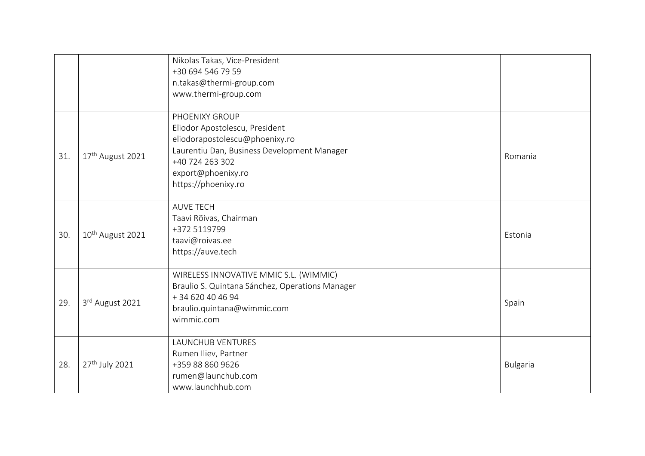|     |                              | Nikolas Takas, Vice-President                   |                 |
|-----|------------------------------|-------------------------------------------------|-----------------|
|     |                              | +30 694 546 79 59                               |                 |
|     |                              | n.takas@thermi-group.com                        |                 |
|     |                              | www.thermi-group.com                            |                 |
|     |                              | PHOENIXY GROUP                                  |                 |
|     |                              | Eliodor Apostolescu, President                  |                 |
|     |                              | eliodorapostolescu@phoenixy.ro                  |                 |
|     |                              | Laurentiu Dan, Business Development Manager     |                 |
| 31. | 17 <sup>th</sup> August 2021 | +40 724 263 302                                 | Romania         |
|     |                              | export@phoenixy.ro                              |                 |
|     |                              | https://phoenixy.ro                             |                 |
|     |                              | <b>AUVE TECH</b>                                |                 |
|     | 10 <sup>th</sup> August 2021 | Taavi Rõivas, Chairman                          |                 |
|     |                              | +372 5119799                                    |                 |
| 30. |                              | taavi@roivas.ee                                 | Estonia         |
|     |                              | https://auve.tech                               |                 |
|     |                              | WIRELESS INNOVATIVE MMIC S.L. (WIMMIC)          |                 |
|     |                              | Braulio S. Quintana Sánchez, Operations Manager |                 |
|     |                              | +34 620 40 46 94                                |                 |
| 29. | 3rd August 2021              | braulio.quintana@wimmic.com                     | Spain           |
|     |                              | wimmic.com                                      |                 |
|     |                              | <b>LAUNCHUB VENTURES</b>                        |                 |
|     |                              | Rumen Iliev, Partner                            |                 |
| 28. | 27 <sup>th</sup> July 2021   | +359 88 860 9626                                | <b>Bulgaria</b> |
|     |                              | rumen@launchub.com                              |                 |
|     |                              | www.launchhub.com                               |                 |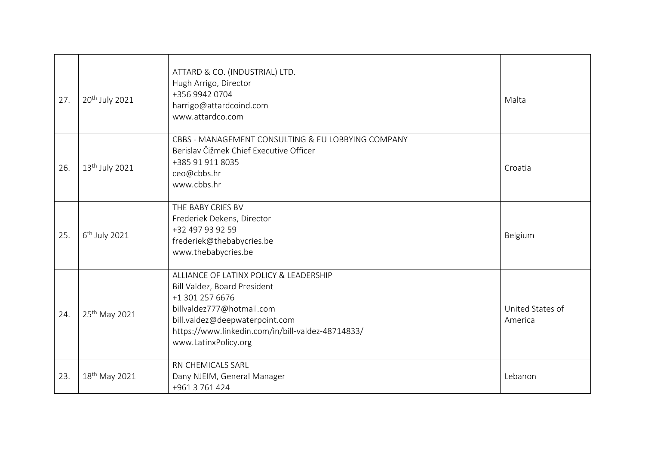| 27. | 20 <sup>th</sup> July 2021 | ATTARD & CO. (INDUSTRIAL) LTD.<br>Hugh Arrigo, Director<br>+356 9942 0704<br>harrigo@attardcoind.com<br>www.attardco.com                                                                                                              | Malta                       |
|-----|----------------------------|---------------------------------------------------------------------------------------------------------------------------------------------------------------------------------------------------------------------------------------|-----------------------------|
| 26. | 13 <sup>th</sup> July 2021 | CBBS - MANAGEMENT CONSULTING & EU LOBBYING COMPANY<br>Berislav Čižmek Chief Executive Officer<br>+385 91 911 8035<br>ceo@cbbs.hr<br>www.cbbs.hr                                                                                       | Croatia                     |
| 25. | 6 <sup>th</sup> July 2021  | THE BABY CRIES BV<br>Frederiek Dekens, Director<br>+32 497 93 92 59<br>frederiek@thebabycries.be<br>www.thebabycries.be                                                                                                               | Belgium                     |
| 24. | 25 <sup>th</sup> May 2021  | ALLIANCE OF LATINX POLICY & LEADERSHIP<br>Bill Valdez, Board President<br>+1 301 257 6676<br>billvaldez777@hotmail.com<br>bill.valdez@deepwaterpoint.com<br>https://www.linkedin.com/in/bill-valdez-48714833/<br>www.LatinxPolicy.org | United States of<br>America |
| 23. | 18 <sup>th</sup> May 2021  | RN CHEMICALS SARL<br>Dany NJEIM, General Manager<br>+961 3 761 424                                                                                                                                                                    | Lebanon                     |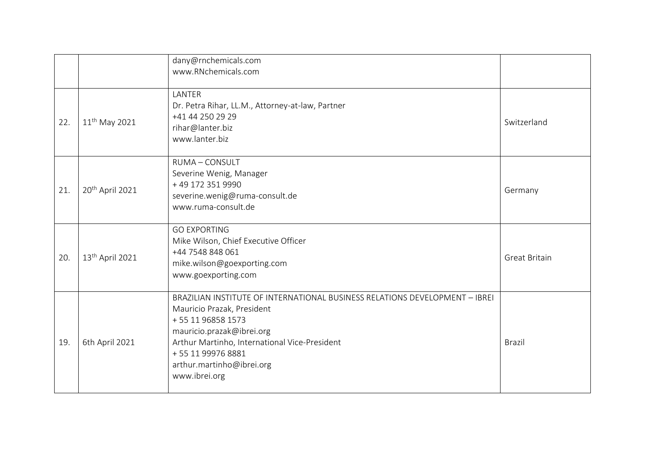|     |                             | dany@rnchemicals.com<br>www.RNchemicals.com                                                                                                                                                                                                                                     |                      |
|-----|-----------------------------|---------------------------------------------------------------------------------------------------------------------------------------------------------------------------------------------------------------------------------------------------------------------------------|----------------------|
| 22. | 11 <sup>th</sup> May 2021   | LANTER<br>Dr. Petra Rihar, LL.M., Attorney-at-law, Partner<br>+41 44 250 29 29<br>rihar@lanter.biz<br>www.lanter.biz                                                                                                                                                            | Switzerland          |
| 21. | 20 <sup>th</sup> April 2021 | RUMA - CONSULT<br>Severine Wenig, Manager<br>+49 172 351 9990<br>severine.wenig@ruma-consult.de<br>www.ruma-consult.de                                                                                                                                                          | Germany              |
| 20. | 13 <sup>th</sup> April 2021 | <b>GO EXPORTING</b><br>Mike Wilson, Chief Executive Officer<br>+44 7548 848 061<br>mike.wilson@goexporting.com<br>www.goexporting.com                                                                                                                                           | <b>Great Britain</b> |
| 19. | 6th April 2021              | BRAZILIAN INSTITUTE OF INTERNATIONAL BUSINESS RELATIONS DEVELOPMENT - IBREI<br>Mauricio Prazak, President<br>+55 11 96858 1573<br>mauricio.prazak@ibrei.org<br>Arthur Martinho, International Vice-President<br>+55 11 99976 8881<br>arthur.martinho@ibrei.org<br>www.ibrei.org | <b>Brazil</b>        |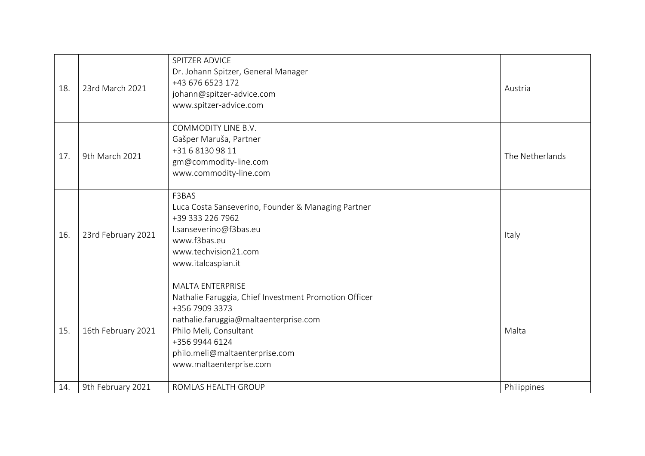| 18. | 23rd March 2021    | SPITZER ADVICE<br>Dr. Johann Spitzer, General Manager<br>+43 676 6523 172<br>johann@spitzer-advice.com<br>www.spitzer-advice.com                                                                                                                     | Austria         |
|-----|--------------------|------------------------------------------------------------------------------------------------------------------------------------------------------------------------------------------------------------------------------------------------------|-----------------|
| 17. | 9th March 2021     | COMMODITY LINE B.V.<br>Gašper Maruša, Partner<br>+31681309811<br>gm@commodity-line.com<br>www.commodity-line.com                                                                                                                                     | The Netherlands |
| 16. | 23rd February 2021 | F3BAS<br>Luca Costa Sanseverino, Founder & Managing Partner<br>+39 333 226 7962<br>l.sanseverino@f3bas.eu<br>www.f3bas.eu<br>www.techvision21.com<br>www.italcaspian.it                                                                              | Italy           |
| 15. | 16th February 2021 | <b>MALTA ENTERPRISE</b><br>Nathalie Faruggia, Chief Investment Promotion Officer<br>+356 7909 3373<br>nathalie.faruggia@maltaenterprise.com<br>Philo Meli, Consultant<br>+356 9944 6124<br>philo.meli@maltaenterprise.com<br>www.maltaenterprise.com | Malta           |
| 14. | 9th February 2021  | ROMLAS HEALTH GROUP                                                                                                                                                                                                                                  | Philippines     |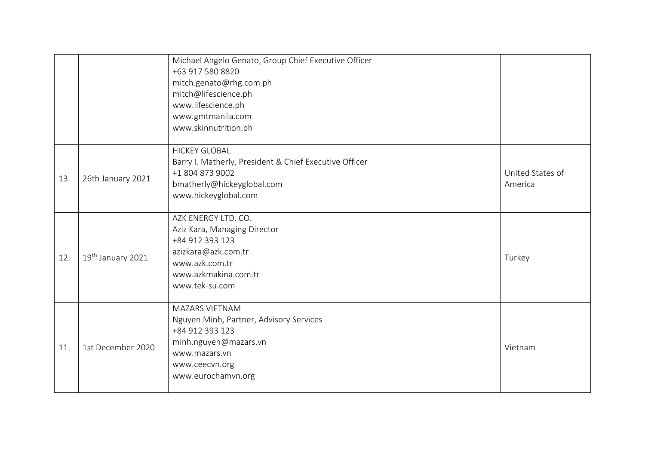|     |                   | Michael Angelo Genato, Group Chief Executive Officer<br>+63 917 580 8820<br>mitch.genato@rhg.com.ph<br>mitch@lifescience.ph<br>www.lifescience.ph<br>www.gmtmanila.com<br>www.skinnutrition.ph |                             |
|-----|-------------------|------------------------------------------------------------------------------------------------------------------------------------------------------------------------------------------------|-----------------------------|
| 13. | 26th January 2021 | <b>HICKEY GLOBAL</b><br>Barry I. Matherly, President & Chief Executive Officer<br>+1 804 873 9002<br>bmatherly@hickeyglobal.com<br>www.hickeyglobal.com                                        | United States of<br>America |
| 12. | 19th January 2021 | AZK ENERGY LTD. CO.<br>Aziz Kara, Managing Director<br>+84 912 393 123<br>azizkara@azk.com.tr<br>www.azk.com.tr<br>www.azkmakina.com.tr<br>www.tek-su.com                                      | Turkey                      |
| 11. | 1st December 2020 | MAZARS VIETNAM<br>Nguyen Minh, Partner, Advisory Services<br>+84 912 393 123<br>minh.nguyen@mazars.vn<br>www.mazars.vn<br>www.ceecvn.org<br>www.eurochamvn.org                                 | Vietnam                     |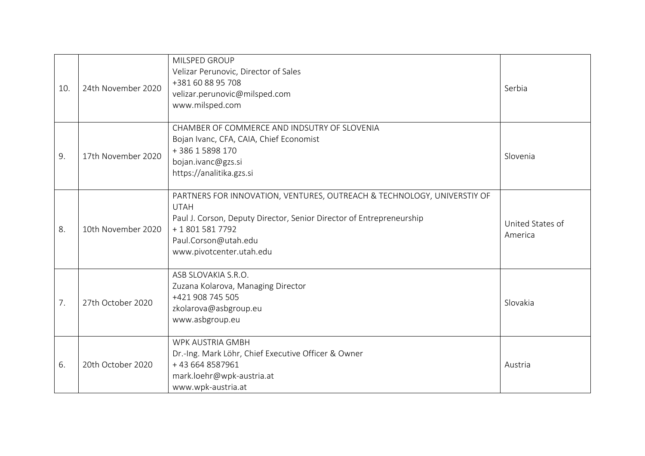| 10. | 24th November 2020 | MILSPED GROUP<br>Velizar Perunovic, Director of Sales<br>+381 60 88 95 708<br>velizar.perunovic@milsped.com<br>www.milsped.com                                                                                                     | Serbia                      |
|-----|--------------------|------------------------------------------------------------------------------------------------------------------------------------------------------------------------------------------------------------------------------------|-----------------------------|
| 9.  | 17th November 2020 | CHAMBER OF COMMERCE AND INDSUTRY OF SLOVENIA<br>Bojan Ivanc, CFA, CAIA, Chief Economist<br>+38615898170<br>bojan.ivanc@gzs.si<br>https://analitika.gzs.si                                                                          | Slovenia                    |
| 8.  | 10th November 2020 | PARTNERS FOR INNOVATION, VENTURES, OUTREACH & TECHNOLOGY, UNIVERSTIY OF<br><b>UTAH</b><br>Paul J. Corson, Deputy Director, Senior Director of Entrepreneurship<br>+18015817792<br>Paul.Corson@utah.edu<br>www.pivotcenter.utah.edu | United States of<br>America |
| 7.  | 27th October 2020  | ASB SLOVAKIA S.R.O.<br>Zuzana Kolarova, Managing Director<br>+421 908 745 505<br>zkolarova@asbgroup.eu<br>www.asbgroup.eu                                                                                                          | Slovakia                    |
| 6.  | 20th October 2020  | <b>WPK AUSTRIA GMBH</b><br>Dr.-Ing. Mark Löhr, Chief Executive Officer & Owner<br>+43 664 8587961<br>mark.loehr@wpk-austria.at<br>www.wpk-austria.at                                                                               | Austria                     |